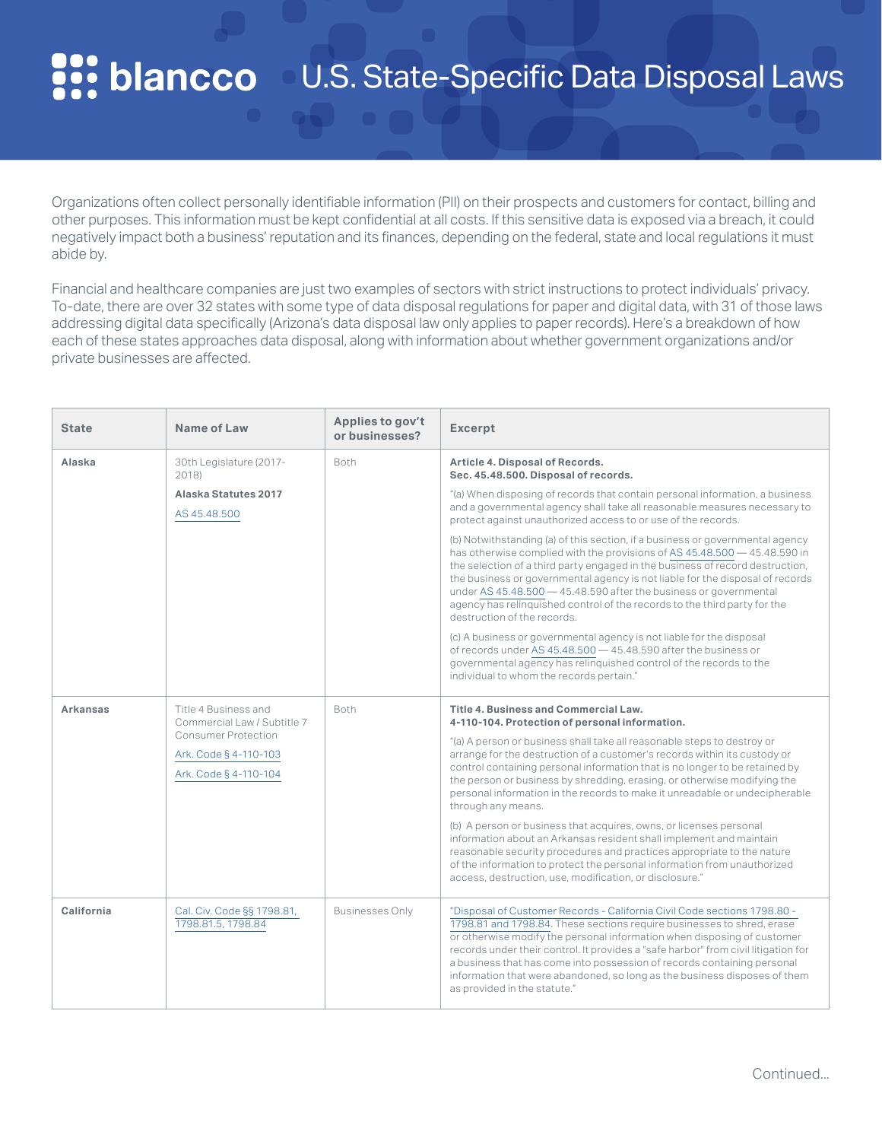#### **PP: blancco** U.S. State-Specific Data Disposal Laws

Organizations often collect personally identifiable information (PII) on their prospects and customers for contact, billing and other purposes. This information must be kept confidential at all costs. If this sensitive data is exposed via a breach, it could negatively impact both a business' reputation and its finances, depending on the federal, state and local regulations it must abide by.

Financial and healthcare companies are just two examples of sectors with strict instructions to protect individuals' privacy. To-date, there are over 32 states with some type of data disposal regulations for paper and digital data, with 31 of those laws addressing digital data specifically (Arizona's data disposal law only applies to paper records). Here's a breakdown of how each of these states approaches data disposal, along with information about whether government organizations and/or private businesses are affected.

| <b>State</b>    | Name of Law                                                                                                                  | Applies to gov't<br>or businesses? | <b>Excerpt</b>                                                                                                                                                                                                                                                                                                                                                                                                                                                                                                                                                                                                                                                                                                                                                                                                                                                                                                                                                                                                                          |
|-----------------|------------------------------------------------------------------------------------------------------------------------------|------------------------------------|-----------------------------------------------------------------------------------------------------------------------------------------------------------------------------------------------------------------------------------------------------------------------------------------------------------------------------------------------------------------------------------------------------------------------------------------------------------------------------------------------------------------------------------------------------------------------------------------------------------------------------------------------------------------------------------------------------------------------------------------------------------------------------------------------------------------------------------------------------------------------------------------------------------------------------------------------------------------------------------------------------------------------------------------|
| Alaska          | 30th Legislature (2017-<br>2018)<br>Alaska Statutes 2017<br>AS 45,48,500                                                     | Both                               | Article 4. Disposal of Records.<br>Sec. 45.48.500. Disposal of records.<br>"(a) When disposing of records that contain personal information, a business<br>and a governmental agency shall take all reasonable measures necessary to<br>protect against unauthorized access to or use of the records.<br>(b) Notwithstanding (a) of this section, if a business or governmental agency<br>has otherwise complied with the provisions of AS 45.48.500 – 45.48.590 in<br>the selection of a third party engaged in the business of record destruction,<br>the business or governmental agency is not liable for the disposal of records<br>under AS 45.48.500 - 45.48.590 after the business or governmental<br>agency has relinquished control of the records to the third party for the<br>destruction of the records.<br>(c) A business or governmental agency is not liable for the disposal<br>of records under AS 45.48.500 - 45.48.590 after the business or<br>governmental agency has relinquished control of the records to the |
| <b>Arkansas</b> | Title 4 Business and<br>Commercial Law / Subtitle 7<br>Consumer Protection<br>Ark. Code § 4-110-103<br>Ark. Code § 4-110-104 | Both                               | individual to whom the records pertain."<br><b>Title 4. Business and Commercial Law.</b><br>4-110-104. Protection of personal information.<br>"(a) A person or business shall take all reasonable steps to destroy or<br>arrange for the destruction of a customer's records within its custody or<br>control containing personal information that is no longer to be retained by<br>the person or business by shredding, erasing, or otherwise modifying the<br>personal information in the records to make it unreadable or undecipherable<br>through any means.<br>(b) A person or business that acquires, owns, or licenses personal<br>information about an Arkansas resident shall implement and maintain<br>reasonable security procedures and practices appropriate to the nature<br>of the information to protect the personal information from unauthorized<br>access, destruction, use, modification, or disclosure."                                                                                                        |
| California      | Cal. Civ. Code §§ 1798.81,<br>1798.81.5, 1798.84                                                                             | <b>Businesses Only</b>             | "Disposal of Customer Records - California Civil Code sections 1798.80 -<br>1798.81 and 1798.84. These sections require businesses to shred, erase<br>or otherwise modify the personal information when disposing of customer<br>records under their control. It provides a "safe harbor" from civil litigation for<br>a business that has come into possession of records containing personal<br>information that were abandoned, so long as the business disposes of them<br>as provided in the statute."                                                                                                                                                                                                                                                                                                                                                                                                                                                                                                                             |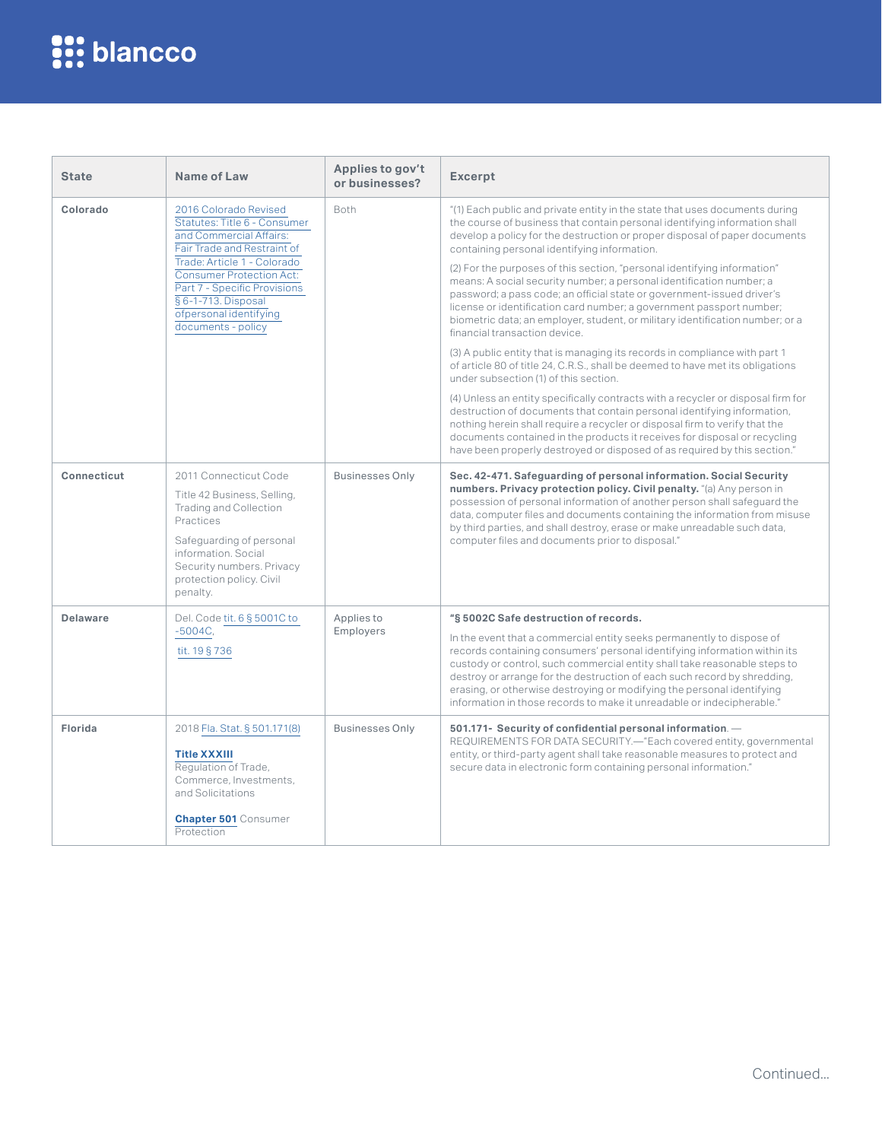| <b>State</b>    | Name of Law                                                                                                                                                                                                                                                                       | Applies to gov't<br>or businesses? | <b>Excerpt</b>                                                                                                                                                                                                                                                                                                                                                                                                                                                                                                                                                                                                                                                                                                                                                                                                                                                                                                                                                                                                                                                                                                                                                                                                                                      |
|-----------------|-----------------------------------------------------------------------------------------------------------------------------------------------------------------------------------------------------------------------------------------------------------------------------------|------------------------------------|-----------------------------------------------------------------------------------------------------------------------------------------------------------------------------------------------------------------------------------------------------------------------------------------------------------------------------------------------------------------------------------------------------------------------------------------------------------------------------------------------------------------------------------------------------------------------------------------------------------------------------------------------------------------------------------------------------------------------------------------------------------------------------------------------------------------------------------------------------------------------------------------------------------------------------------------------------------------------------------------------------------------------------------------------------------------------------------------------------------------------------------------------------------------------------------------------------------------------------------------------------|
| Colorado        | 2016 Colorado Revised<br>Statutes: Title 6 - Consumer<br>and Commercial Affairs:<br>Fair Trade and Restraint of<br>Trade: Article 1 - Colorado<br>Consumer Protection Act:<br>Part 7 - Specific Provisions<br>§ 6-1-713. Disposal<br>ofpersonal identifying<br>documents - policy | <b>Both</b>                        | "(1) Each public and private entity in the state that uses documents during<br>the course of business that contain personal identifying information shall<br>develop a policy for the destruction or proper disposal of paper documents<br>containing personal identifying information.<br>(2) For the purposes of this section, "personal identifying information"<br>means: A social security number; a personal identification number; a<br>password; a pass code; an official state or government-issued driver's<br>license or identification card number; a government passport number;<br>biometric data; an employer, student, or military identification number; or a<br>financial transaction device.<br>(3) A public entity that is managing its records in compliance with part 1<br>of article 80 of title 24, C.R.S., shall be deemed to have met its obligations<br>under subsection (1) of this section.<br>(4) Unless an entity specifically contracts with a recycler or disposal firm for<br>destruction of documents that contain personal identifying information,<br>nothing herein shall require a recycler or disposal firm to verify that the<br>documents contained in the products it receives for disposal or recycling |
| Connecticut     | 2011 Connecticut Code<br>Title 42 Business, Selling,<br>Trading and Collection<br>Practices<br>Safeguarding of personal<br>information. Social<br>Security numbers. Privacy<br>protection policy. Civil<br>penalty.                                                               | <b>Businesses Only</b>             | have been properly destroyed or disposed of as required by this section."<br>Sec. 42-471. Safeguarding of personal information. Social Security<br>numbers. Privacy protection policy. Civil penalty. "(a) Any person in<br>possession of personal information of another person shall safequard the<br>data, computer files and documents containing the information from misuse<br>by third parties, and shall destroy, erase or make unreadable such data,<br>computer files and documents prior to disposal."                                                                                                                                                                                                                                                                                                                                                                                                                                                                                                                                                                                                                                                                                                                                   |
| <b>Delaware</b> | Del. Code tit. 6 § 5001C to<br>$-5004C,$<br>tit. 19 § 736                                                                                                                                                                                                                         | Applies to<br>Employers            | "§ 5002C Safe destruction of records.<br>In the event that a commercial entity seeks permanently to dispose of<br>records containing consumers' personal identifying information within its<br>custody or control, such commercial entity shall take reasonable steps to<br>destroy or arrange for the destruction of each such record by shredding,<br>erasing, or otherwise destroying or modifying the personal identifying<br>information in those records to make it unreadable or indecipherable."                                                                                                                                                                                                                                                                                                                                                                                                                                                                                                                                                                                                                                                                                                                                            |
| Florida         | 2018 Fla. Stat. § 501.171(8)<br><b>Title XXXIII</b><br>Regulation of Trade,<br>Commerce, Investments,<br>and Solicitations<br><b>Chapter 501 Consumer</b><br>Protection                                                                                                           | <b>Businesses Only</b>             | 501.171- Security of confidential personal information. -<br>REQUIREMENTS FOR DATA SECURITY.-"Each covered entity, governmental<br>entity, or third-party agent shall take reasonable measures to protect and<br>secure data in electronic form containing personal information."                                                                                                                                                                                                                                                                                                                                                                                                                                                                                                                                                                                                                                                                                                                                                                                                                                                                                                                                                                   |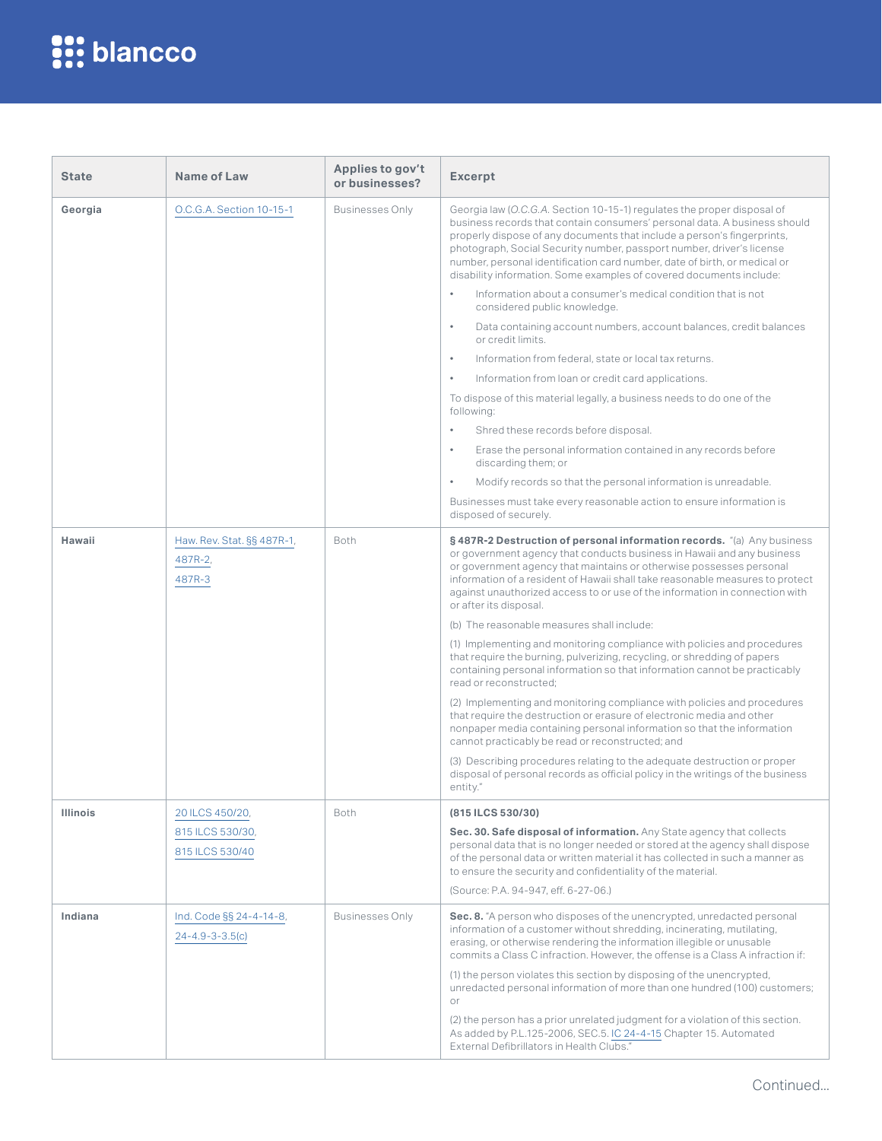| <b>State</b>    | Name of Law                                        | Applies to gov't<br>or businesses? | <b>Excerpt</b>                                                                                                                                                                                                                                                                                                                                                                                                                                                                                                                                                                                                                                                                                                                                                                                                                                                                                                                                                                                                                                                                                                                                                                              |
|-----------------|----------------------------------------------------|------------------------------------|---------------------------------------------------------------------------------------------------------------------------------------------------------------------------------------------------------------------------------------------------------------------------------------------------------------------------------------------------------------------------------------------------------------------------------------------------------------------------------------------------------------------------------------------------------------------------------------------------------------------------------------------------------------------------------------------------------------------------------------------------------------------------------------------------------------------------------------------------------------------------------------------------------------------------------------------------------------------------------------------------------------------------------------------------------------------------------------------------------------------------------------------------------------------------------------------|
| Georgia         | O.C.G.A. Section 10-15-1                           | <b>Businesses Only</b>             | Georgia law (O.C.G.A. Section 10-15-1) regulates the proper disposal of<br>business records that contain consumers' personal data. A business should<br>properly dispose of any documents that include a person's fingerprints,<br>photograph, Social Security number, passport number, driver's license<br>number, personal identification card number, date of birth, or medical or<br>disability information. Some examples of covered documents include:                                                                                                                                                                                                                                                                                                                                                                                                                                                                                                                                                                                                                                                                                                                                |
|                 |                                                    |                                    | Information about a consumer's medical condition that is not<br>$\bullet$<br>considered public knowledge.                                                                                                                                                                                                                                                                                                                                                                                                                                                                                                                                                                                                                                                                                                                                                                                                                                                                                                                                                                                                                                                                                   |
|                 |                                                    |                                    | Data containing account numbers, account balances, credit balances<br>$\bullet$<br>or credit limits.                                                                                                                                                                                                                                                                                                                                                                                                                                                                                                                                                                                                                                                                                                                                                                                                                                                                                                                                                                                                                                                                                        |
|                 |                                                    |                                    | Information from federal, state or local tax returns.<br>$\bullet$                                                                                                                                                                                                                                                                                                                                                                                                                                                                                                                                                                                                                                                                                                                                                                                                                                                                                                                                                                                                                                                                                                                          |
|                 |                                                    |                                    | Information from loan or credit card applications.<br>$\bullet$                                                                                                                                                                                                                                                                                                                                                                                                                                                                                                                                                                                                                                                                                                                                                                                                                                                                                                                                                                                                                                                                                                                             |
|                 |                                                    |                                    | To dispose of this material legally, a business needs to do one of the<br>following:                                                                                                                                                                                                                                                                                                                                                                                                                                                                                                                                                                                                                                                                                                                                                                                                                                                                                                                                                                                                                                                                                                        |
|                 |                                                    |                                    | $\bullet$<br>Shred these records before disposal.                                                                                                                                                                                                                                                                                                                                                                                                                                                                                                                                                                                                                                                                                                                                                                                                                                                                                                                                                                                                                                                                                                                                           |
|                 |                                                    |                                    | Erase the personal information contained in any records before<br>$\bullet$<br>discarding them; or                                                                                                                                                                                                                                                                                                                                                                                                                                                                                                                                                                                                                                                                                                                                                                                                                                                                                                                                                                                                                                                                                          |
|                 |                                                    |                                    | Modify records so that the personal information is unreadable.<br>$\bullet$                                                                                                                                                                                                                                                                                                                                                                                                                                                                                                                                                                                                                                                                                                                                                                                                                                                                                                                                                                                                                                                                                                                 |
|                 |                                                    |                                    | Businesses must take every reasonable action to ensure information is<br>disposed of securely.                                                                                                                                                                                                                                                                                                                                                                                                                                                                                                                                                                                                                                                                                                                                                                                                                                                                                                                                                                                                                                                                                              |
| Hawaii          | Haw. Rev. Stat. §§ 487R-1,<br>487R-2,<br>487R-3    | Both                               | § 487R-2 Destruction of personal information records. "(a) Any business<br>or government agency that conducts business in Hawaii and any business<br>or government agency that maintains or otherwise possesses personal<br>information of a resident of Hawaii shall take reasonable measures to protect<br>against unauthorized access to or use of the information in connection with<br>or after its disposal.<br>(b) The reasonable measures shall include:<br>(1) Implementing and monitoring compliance with policies and procedures<br>that require the burning, pulverizing, recycling, or shredding of papers<br>containing personal information so that information cannot be practicably<br>read or reconstructed:<br>(2) Implementing and monitoring compliance with policies and procedures<br>that require the destruction or erasure of electronic media and other<br>nonpaper media containing personal information so that the information<br>cannot practicably be read or reconstructed; and<br>(3) Describing procedures relating to the adequate destruction or proper<br>disposal of personal records as official policy in the writings of the business<br>entity." |
| <b>Illinois</b> | 20 ILCS 450/20,                                    | Both                               | (815 ILCS 530/30)                                                                                                                                                                                                                                                                                                                                                                                                                                                                                                                                                                                                                                                                                                                                                                                                                                                                                                                                                                                                                                                                                                                                                                           |
|                 | 815 ILCS 530/30,<br>815 ILCS 530/40                |                                    | Sec. 30. Safe disposal of information. Any State agency that collects<br>personal data that is no longer needed or stored at the agency shall dispose<br>of the personal data or written material it has collected in such a manner as<br>to ensure the security and confidentiality of the material.<br>(Source: P.A. 94-947, eff. 6-27-06.)                                                                                                                                                                                                                                                                                                                                                                                                                                                                                                                                                                                                                                                                                                                                                                                                                                               |
| Indiana         | Ind. Code §§ 24-4-14-8,<br>$24 - 4.9 - 3 - 3.5(c)$ | <b>Businesses Only</b>             | Sec. 8. "A person who disposes of the unencrypted, unredacted personal<br>information of a customer without shredding, incinerating, mutilating,<br>erasing, or otherwise rendering the information illegible or unusable<br>commits a Class C infraction. However, the offense is a Class A infraction if:                                                                                                                                                                                                                                                                                                                                                                                                                                                                                                                                                                                                                                                                                                                                                                                                                                                                                 |
|                 |                                                    |                                    | (1) the person violates this section by disposing of the unencrypted,<br>unredacted personal information of more than one hundred (100) customers;<br>or                                                                                                                                                                                                                                                                                                                                                                                                                                                                                                                                                                                                                                                                                                                                                                                                                                                                                                                                                                                                                                    |
|                 |                                                    |                                    | (2) the person has a prior unrelated judgment for a violation of this section.<br>As added by P.L.125-2006, SEC.5. IC 24-4-15 Chapter 15. Automated<br>External Defibrillators in Health Clubs."                                                                                                                                                                                                                                                                                                                                                                                                                                                                                                                                                                                                                                                                                                                                                                                                                                                                                                                                                                                            |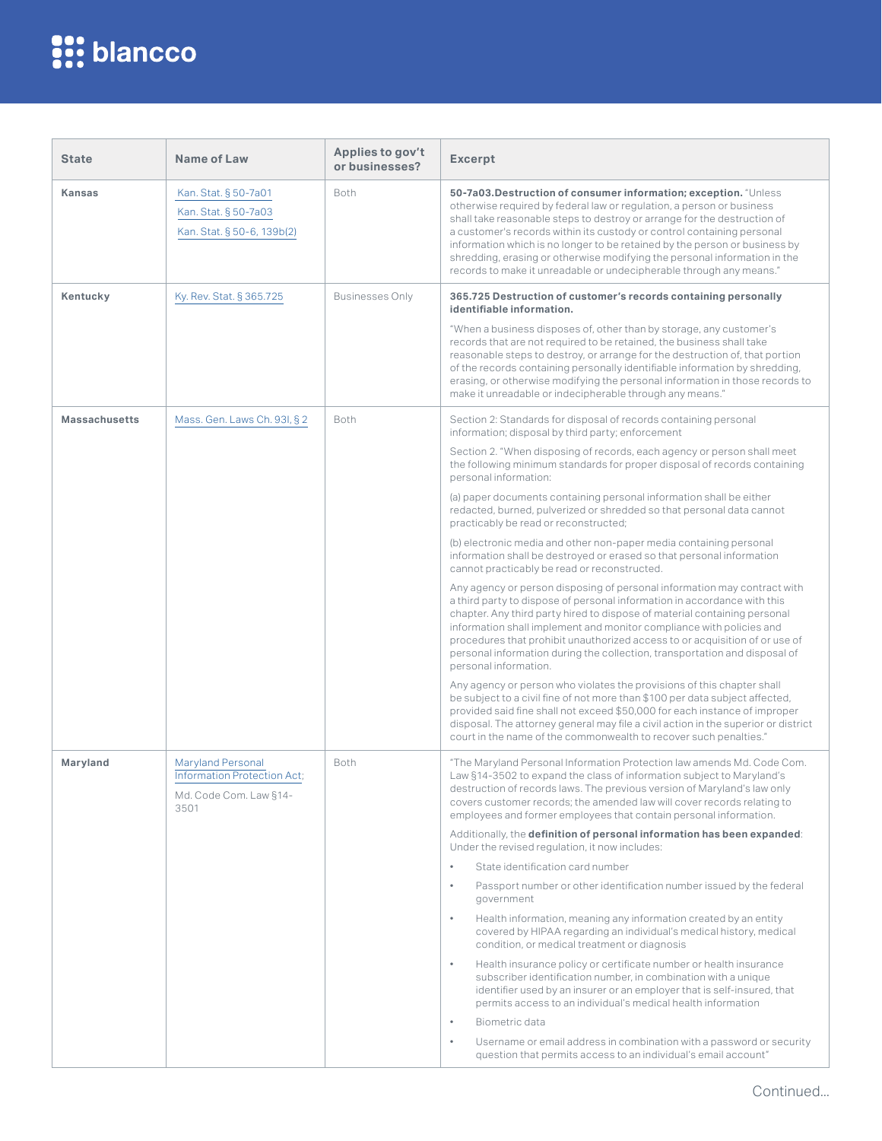| <b>State</b>         | Name of Law                                                                        | Applies to gov't<br>or businesses? | <b>Excerpt</b>                                                                                                                                                                                                                                                                                                                                                                                                                                                                                                                                                                                                                                                                                                                                                                                                                                                                                                                                                                                                                                                                                                                                                                                                                                                                                                                                                                                                                                                                                                                  |
|----------------------|------------------------------------------------------------------------------------|------------------------------------|---------------------------------------------------------------------------------------------------------------------------------------------------------------------------------------------------------------------------------------------------------------------------------------------------------------------------------------------------------------------------------------------------------------------------------------------------------------------------------------------------------------------------------------------------------------------------------------------------------------------------------------------------------------------------------------------------------------------------------------------------------------------------------------------------------------------------------------------------------------------------------------------------------------------------------------------------------------------------------------------------------------------------------------------------------------------------------------------------------------------------------------------------------------------------------------------------------------------------------------------------------------------------------------------------------------------------------------------------------------------------------------------------------------------------------------------------------------------------------------------------------------------------------|
| <b>Kansas</b>        | Kan. Stat. § 50-7a01<br>Kan. Stat. § 50-7a03<br>Kan. Stat. § 50-6, 139b(2)         | Both                               | 50-7a03. Destruction of consumer information; exception. "Unless<br>otherwise required by federal law or regulation, a person or business<br>shall take reasonable steps to destroy or arrange for the destruction of<br>a customer's records within its custody or control containing personal<br>information which is no longer to be retained by the person or business by<br>shredding, erasing or otherwise modifying the personal information in the<br>records to make it unreadable or undecipherable through any means."                                                                                                                                                                                                                                                                                                                                                                                                                                                                                                                                                                                                                                                                                                                                                                                                                                                                                                                                                                                               |
| Kentucky             | Ky. Rev. Stat. § 365.725                                                           | <b>Businesses Only</b>             | 365.725 Destruction of customer's records containing personally<br>identifiable information.<br>"When a business disposes of, other than by storage, any customer's<br>records that are not required to be retained, the business shall take<br>reasonable steps to destroy, or arrange for the destruction of, that portion<br>of the records containing personally identifiable information by shredding,<br>erasing, or otherwise modifying the personal information in those records to<br>make it unreadable or indecipherable through any means."                                                                                                                                                                                                                                                                                                                                                                                                                                                                                                                                                                                                                                                                                                                                                                                                                                                                                                                                                                         |
| <b>Massachusetts</b> | Mass. Gen. Laws Ch. 93I, § 2                                                       | Both                               | Section 2: Standards for disposal of records containing personal<br>information; disposal by third party; enforcement<br>Section 2. "When disposing of records, each agency or person shall meet<br>the following minimum standards for proper disposal of records containing<br>personal information:<br>(a) paper documents containing personal information shall be either<br>redacted, burned, pulverized or shredded so that personal data cannot<br>practicably be read or reconstructed;<br>(b) electronic media and other non-paper media containing personal<br>information shall be destroyed or erased so that personal information<br>cannot practicably be read or reconstructed.<br>Any agency or person disposing of personal information may contract with<br>a third party to dispose of personal information in accordance with this<br>chapter. Any third party hired to dispose of material containing personal<br>information shall implement and monitor compliance with policies and<br>procedures that prohibit unauthorized access to or acquisition of or use of<br>personal information during the collection, transportation and disposal of<br>personal information.<br>Any agency or person who violates the provisions of this chapter shall<br>be subject to a civil fine of not more than \$100 per data subject affected,<br>provided said fine shall not exceed \$50,000 for each instance of improper<br>disposal. The attorney general may file a civil action in the superior or district |
| Maryland             | Maryland Personal<br>Information Protection Act;<br>Md. Code Com. Law §14-<br>3501 | Both                               | court in the name of the commonwealth to recover such penalties."<br>"The Maryland Personal Information Protection law amends Md. Code Com.<br>Law §14-3502 to expand the class of information subject to Maryland's<br>destruction of records laws. The previous version of Maryland's law only<br>covers customer records; the amended law will cover records relating to<br>employees and former employees that contain personal information.<br>Additionally, the definition of personal information has been expanded:<br>Under the revised regulation, it now includes:<br>State identification card number<br>$\bullet$<br>$\bullet$<br>Passport number or other identification number issued by the federal<br>government<br>Health information, meaning any information created by an entity<br>$\bullet$<br>covered by HIPAA regarding an individual's medical history, medical<br>condition, or medical treatment or diagnosis<br>Health insurance policy or certificate number or health insurance<br>$\bullet$<br>subscriber identification number, in combination with a unique<br>identifier used by an insurer or an employer that is self-insured, that<br>permits access to an individual's medical health information<br>Biometric data<br>$\bullet$<br>Username or email address in combination with a password or security<br>$\bullet$<br>question that permits access to an individual's email account"                                                                                                  |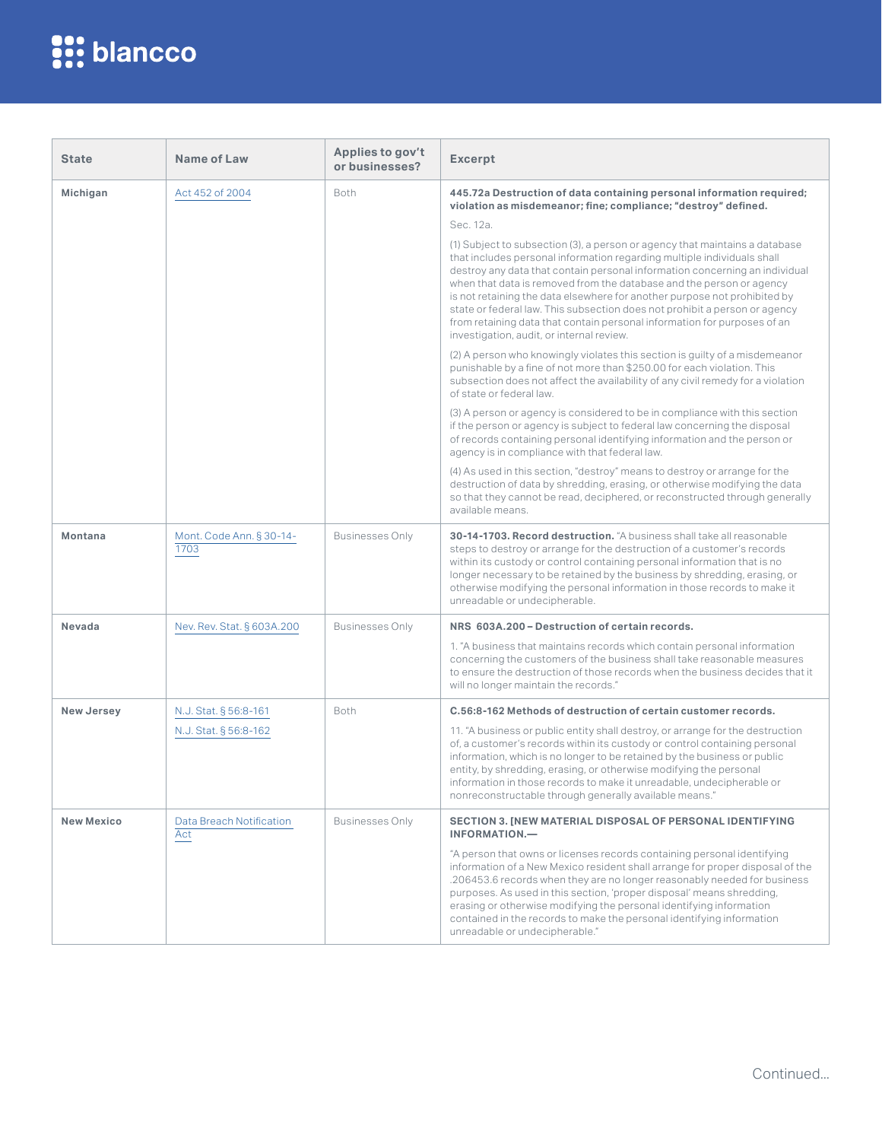| <b>State</b>      | Name of Law                      | Applies to gov't<br>or businesses? | <b>Excerpt</b>                                                                                                                                                                                                                                                                                                                                                                                                                                                                                                                                                                                    |
|-------------------|----------------------------------|------------------------------------|---------------------------------------------------------------------------------------------------------------------------------------------------------------------------------------------------------------------------------------------------------------------------------------------------------------------------------------------------------------------------------------------------------------------------------------------------------------------------------------------------------------------------------------------------------------------------------------------------|
| Michigan          | Act 452 of 2004                  | Both                               | 445.72a Destruction of data containing personal information required;<br>violation as misdemeanor; fine; compliance; "destroy" defined.                                                                                                                                                                                                                                                                                                                                                                                                                                                           |
|                   |                                  |                                    | Sec. 12a.                                                                                                                                                                                                                                                                                                                                                                                                                                                                                                                                                                                         |
|                   |                                  |                                    | (1) Subject to subsection (3), a person or agency that maintains a database<br>that includes personal information regarding multiple individuals shall<br>destroy any data that contain personal information concerning an individual<br>when that data is removed from the database and the person or agency<br>is not retaining the data elsewhere for another purpose not prohibited by<br>state or federal law. This subsection does not prohibit a person or agency<br>from retaining data that contain personal information for purposes of an<br>investigation, audit, or internal review. |
|                   |                                  |                                    | (2) A person who knowingly violates this section is guilty of a misdemeanor<br>punishable by a fine of not more than \$250.00 for each violation. This<br>subsection does not affect the availability of any civil remedy for a violation<br>of state or federal law.                                                                                                                                                                                                                                                                                                                             |
|                   |                                  |                                    | (3) A person or agency is considered to be in compliance with this section<br>if the person or agency is subject to federal law concerning the disposal<br>of records containing personal identifying information and the person or<br>agency is in compliance with that federal law.                                                                                                                                                                                                                                                                                                             |
|                   |                                  |                                    | (4) As used in this section, "destroy" means to destroy or arrange for the<br>destruction of data by shredding, erasing, or otherwise modifying the data<br>so that they cannot be read, deciphered, or reconstructed through generally<br>available means.                                                                                                                                                                                                                                                                                                                                       |
| Montana           | Mont. Code Ann. § 30-14-<br>1703 | <b>Businesses Only</b>             | 30-14-1703. Record destruction. "A business shall take all reasonable<br>steps to destroy or arrange for the destruction of a customer's records<br>within its custody or control containing personal information that is no<br>longer necessary to be retained by the business by shredding, erasing, or<br>otherwise modifying the personal information in those records to make it<br>unreadable or undecipherable.                                                                                                                                                                            |
| Nevada            | Nev. Rev. Stat. § 603A.200       | <b>Businesses Only</b>             | NRS 603A.200 - Destruction of certain records.                                                                                                                                                                                                                                                                                                                                                                                                                                                                                                                                                    |
|                   |                                  |                                    | 1. "A business that maintains records which contain personal information<br>concerning the customers of the business shall take reasonable measures<br>to ensure the destruction of those records when the business decides that it<br>will no longer maintain the records."                                                                                                                                                                                                                                                                                                                      |
| <b>New Jersey</b> | N.J. Stat. § 56:8-161            | Both                               | C.56:8-162 Methods of destruction of certain customer records.                                                                                                                                                                                                                                                                                                                                                                                                                                                                                                                                    |
|                   | N.J. Stat. § 56:8-162            |                                    | 11. "A business or public entity shall destroy, or arrange for the destruction<br>of, a customer's records within its custody or control containing personal<br>information, which is no longer to be retained by the business or public<br>entity, by shredding, erasing, or otherwise modifying the personal<br>information in those records to make it unreadable, undecipherable or<br>nonreconstructable through generally available means."                                                                                                                                                 |
| <b>New Mexico</b> | Data Breach Notification<br>Act  | <b>Businesses Only</b>             | <b>SECTION 3. [NEW MATERIAL DISPOSAL OF PERSONAL IDENTIFYING</b><br><b>INFORMATION.-</b>                                                                                                                                                                                                                                                                                                                                                                                                                                                                                                          |
|                   |                                  |                                    | "A person that owns or licenses records containing personal identifying<br>information of a New Mexico resident shall arrange for proper disposal of the<br>.206453.6 records when they are no longer reasonably needed for business<br>purposes. As used in this section, 'proper disposal' means shredding,<br>erasing or otherwise modifying the personal identifying information<br>contained in the records to make the personal identifying information<br>unreadable or undecipherable."                                                                                                   |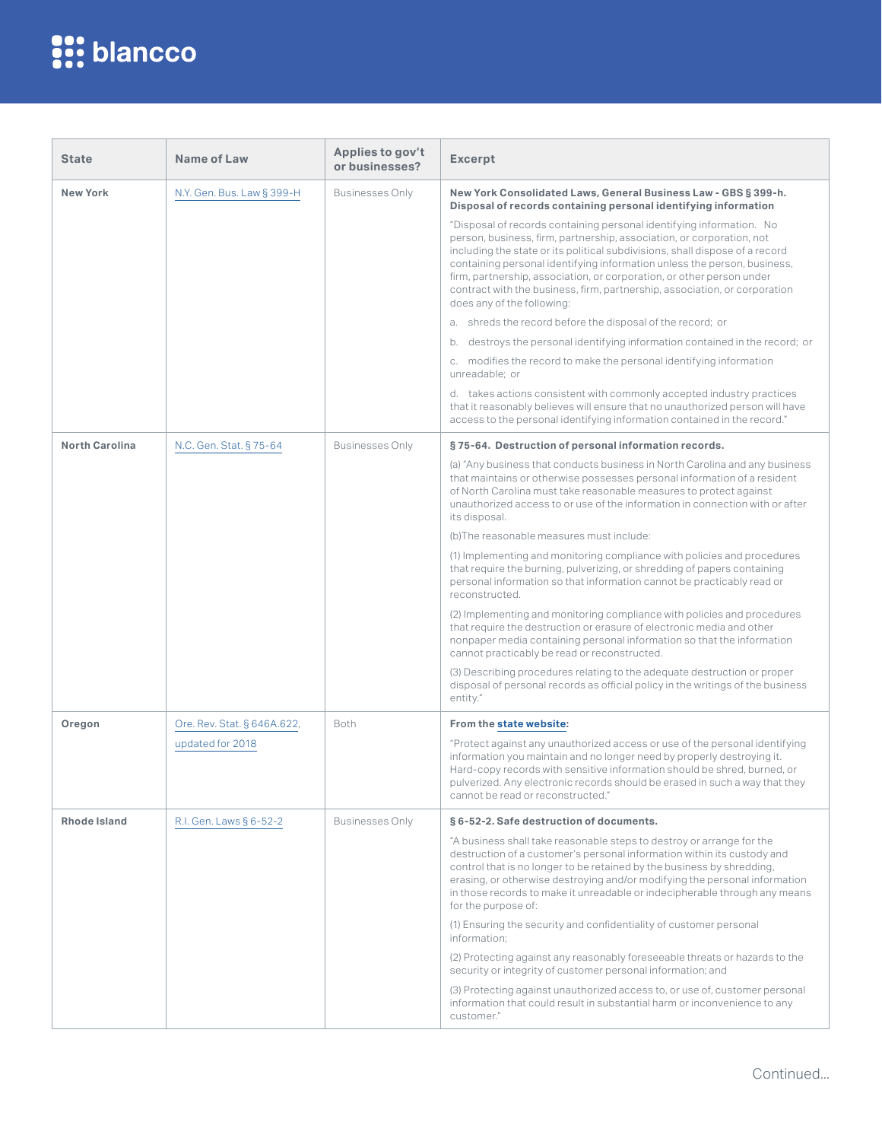| <b>State</b>          | Name of Law                 | Applies to gov't<br>or businesses? | <b>Excerpt</b>                                                                                                                                                                                                                                                                                                                                                                                                                                                                                 |
|-----------------------|-----------------------------|------------------------------------|------------------------------------------------------------------------------------------------------------------------------------------------------------------------------------------------------------------------------------------------------------------------------------------------------------------------------------------------------------------------------------------------------------------------------------------------------------------------------------------------|
| <b>New York</b>       | N.Y. Gen. Bus. Law § 399-H  | <b>Businesses Only</b>             | New York Consolidated Laws, General Business Law - GBS § 399-h.<br>Disposal of records containing personal identifying information                                                                                                                                                                                                                                                                                                                                                             |
|                       |                             |                                    | "Disposal of records containing personal identifying information. No<br>person, business, firm, partnership, association, or corporation, not<br>including the state or its political subdivisions, shall dispose of a record<br>containing personal identifying information unless the person, business,<br>firm, partnership, association, or corporation, or other person under<br>contract with the business, firm, partnership, association, or corporation<br>does any of the following: |
|                       |                             |                                    | a. shreds the record before the disposal of the record; or                                                                                                                                                                                                                                                                                                                                                                                                                                     |
|                       |                             |                                    | destroys the personal identifying information contained in the record; or<br>b.                                                                                                                                                                                                                                                                                                                                                                                                                |
|                       |                             |                                    | c. modifies the record to make the personal identifying information<br>unreadable; or                                                                                                                                                                                                                                                                                                                                                                                                          |
|                       |                             |                                    | d. takes actions consistent with commonly accepted industry practices<br>that it reasonably believes will ensure that no unauthorized person will have<br>access to the personal identifying information contained in the record."                                                                                                                                                                                                                                                             |
| <b>North Carolina</b> | N.C. Gen. Stat. § 75-64     | <b>Businesses Only</b>             | §75-64. Destruction of personal information records.                                                                                                                                                                                                                                                                                                                                                                                                                                           |
|                       |                             |                                    | (a) "Any business that conducts business in North Carolina and any business<br>that maintains or otherwise possesses personal information of a resident<br>of North Carolina must take reasonable measures to protect against<br>unauthorized access to or use of the information in connection with or after<br>its disposal.                                                                                                                                                                 |
|                       |                             |                                    | (b) The reasonable measures must include:                                                                                                                                                                                                                                                                                                                                                                                                                                                      |
|                       |                             |                                    | (1) Implementing and monitoring compliance with policies and procedures<br>that require the burning, pulverizing, or shredding of papers containing<br>personal information so that information cannot be practicably read or<br>reconstructed.                                                                                                                                                                                                                                                |
|                       |                             |                                    | (2) Implementing and monitoring compliance with policies and procedures<br>that require the destruction or erasure of electronic media and other<br>nonpaper media containing personal information so that the information<br>cannot practicably be read or reconstructed.                                                                                                                                                                                                                     |
|                       |                             |                                    | (3) Describing procedures relating to the adequate destruction or proper<br>disposal of personal records as official policy in the writings of the business<br>entity."                                                                                                                                                                                                                                                                                                                        |
| Oregon                | Ore. Rev. Stat. § 646A.622, | Both                               | From the state website:                                                                                                                                                                                                                                                                                                                                                                                                                                                                        |
|                       | updated for 2018            |                                    | "Protect against any unauthorized access or use of the personal identifying<br>information you maintain and no longer need by properly destroying it.<br>Hard-copy records with sensitive information should be shred, burned, or<br>pulverized. Any electronic records should be erased in such a way that they<br>cannot be read or reconstructed."                                                                                                                                          |
| Rhode Island          | R.I. Gen. Laws § 6-52-2     | <b>Businesses Only</b>             | § 6-52-2. Safe destruction of documents.                                                                                                                                                                                                                                                                                                                                                                                                                                                       |
|                       |                             |                                    | "A business shall take reasonable steps to destroy or arrange for the<br>destruction of a customer's personal information within its custody and<br>control that is no longer to be retained by the business by shredding,<br>erasing, or otherwise destroying and/or modifying the personal information<br>in those records to make it unreadable or indecipherable through any means<br>for the purpose of:                                                                                  |
|                       |                             |                                    | (1) Ensuring the security and confidentiality of customer personal<br>information:                                                                                                                                                                                                                                                                                                                                                                                                             |
|                       |                             |                                    | (2) Protecting against any reasonably foreseeable threats or hazards to the<br>security or integrity of customer personal information; and                                                                                                                                                                                                                                                                                                                                                     |
|                       |                             |                                    | (3) Protecting against unauthorized access to, or use of, customer personal<br>information that could result in substantial harm or inconvenience to any<br>customer."                                                                                                                                                                                                                                                                                                                         |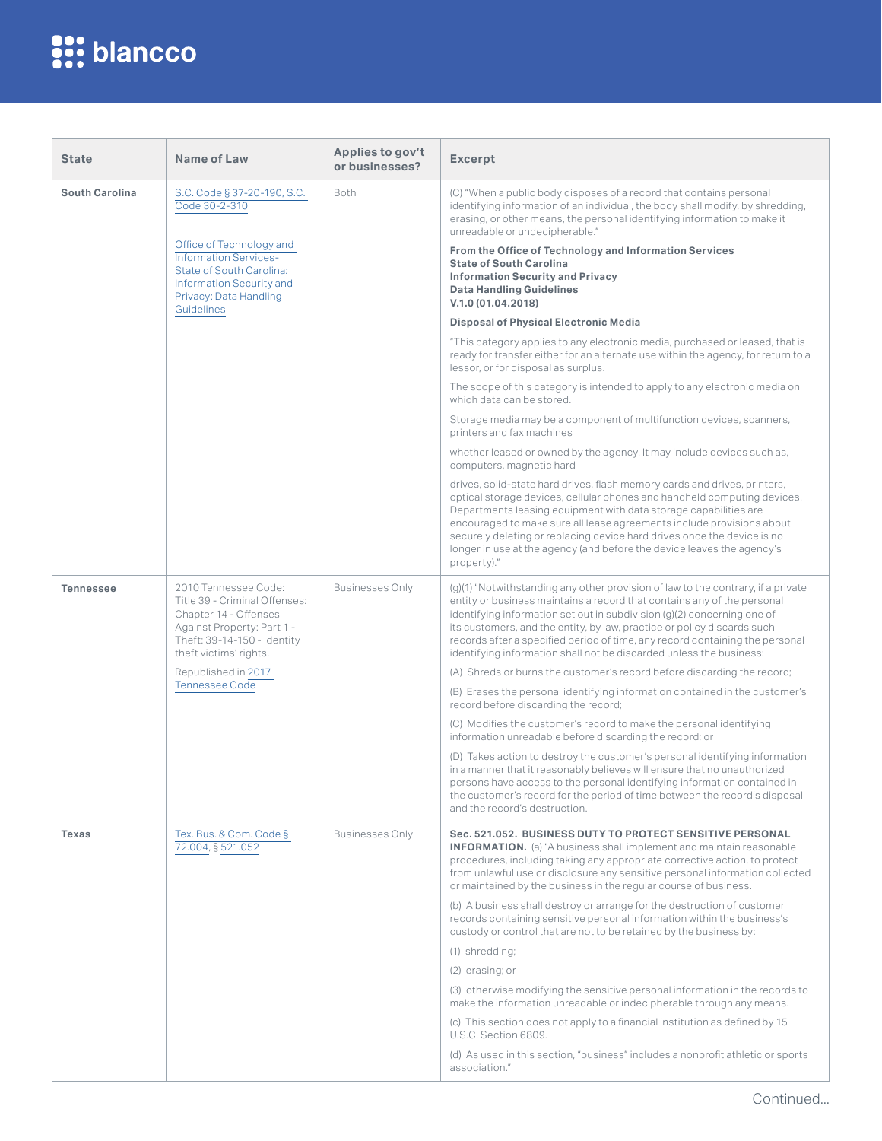| <b>State</b>          | Name of Law                                                                                                                                                           | Applies to gov't<br>or businesses? | <b>Excerpt</b>                                                                                                                                                                                                                                                                                                                                                                                                                                                           |
|-----------------------|-----------------------------------------------------------------------------------------------------------------------------------------------------------------------|------------------------------------|--------------------------------------------------------------------------------------------------------------------------------------------------------------------------------------------------------------------------------------------------------------------------------------------------------------------------------------------------------------------------------------------------------------------------------------------------------------------------|
| <b>South Carolina</b> | S.C. Code § 37-20-190, S.C.<br>Code 30-2-310                                                                                                                          | Both                               | (C) "When a public body disposes of a record that contains personal<br>identifying information of an individual, the body shall modify, by shredding,<br>erasing, or other means, the personal identifying information to make it<br>unreadable or undecipherable."                                                                                                                                                                                                      |
|                       | Office of Technology and<br><b>Information Services-</b><br>State of South Carolina:<br><b>Information Security and</b><br>Privacy: Data Handling                     |                                    | From the Office of Technology and Information Services<br><b>State of South Carolina</b><br><b>Information Security and Privacy</b><br><b>Data Handling Guidelines</b><br>V.1.0 (01.04.2018)                                                                                                                                                                                                                                                                             |
|                       | Guidelines                                                                                                                                                            |                                    | <b>Disposal of Physical Electronic Media</b>                                                                                                                                                                                                                                                                                                                                                                                                                             |
|                       |                                                                                                                                                                       |                                    | "This category applies to any electronic media, purchased or leased, that is<br>ready for transfer either for an alternate use within the agency, for return to a<br>lessor, or for disposal as surplus.                                                                                                                                                                                                                                                                 |
|                       |                                                                                                                                                                       |                                    | The scope of this category is intended to apply to any electronic media on<br>which data can be stored.                                                                                                                                                                                                                                                                                                                                                                  |
|                       |                                                                                                                                                                       |                                    | Storage media may be a component of multifunction devices, scanners,<br>printers and fax machines                                                                                                                                                                                                                                                                                                                                                                        |
|                       |                                                                                                                                                                       |                                    | whether leased or owned by the agency. It may include devices such as,<br>computers, magnetic hard                                                                                                                                                                                                                                                                                                                                                                       |
|                       |                                                                                                                                                                       |                                    | drives, solid-state hard drives, flash memory cards and drives, printers,<br>optical storage devices, cellular phones and handheld computing devices.<br>Departments leasing equipment with data storage capabilities are<br>encouraged to make sure all lease agreements include provisions about<br>securely deleting or replacing device hard drives once the device is no<br>longer in use at the agency (and before the device leaves the agency's<br>property)."   |
| <b>Tennessee</b>      | 2010 Tennessee Code:<br>Title 39 - Criminal Offenses:<br>Chapter 14 - Offenses<br>Against Property: Part 1 -<br>Theft: 39-14-150 - Identity<br>theft victims' rights. | <b>Businesses Only</b>             | (g)(1) "Notwithstanding any other provision of law to the contrary, if a private<br>entity or business maintains a record that contains any of the personal<br>identifying information set out in subdivision (g)(2) concerning one of<br>its customers, and the entity, by law, practice or policy discards such<br>records after a specified period of time, any record containing the personal<br>identifying information shall not be discarded unless the business: |
|                       | Republished in 2017                                                                                                                                                   |                                    | (A) Shreds or burns the customer's record before discarding the record;                                                                                                                                                                                                                                                                                                                                                                                                  |
|                       | <b>Tennessee Code</b>                                                                                                                                                 |                                    | (B) Erases the personal identifying information contained in the customer's<br>record before discarding the record;                                                                                                                                                                                                                                                                                                                                                      |
|                       |                                                                                                                                                                       |                                    | (C) Modifies the customer's record to make the personal identifying<br>information unreadable before discarding the record; or                                                                                                                                                                                                                                                                                                                                           |
|                       |                                                                                                                                                                       |                                    | (D) Takes action to destroy the customer's personal identifying information<br>in a manner that it reasonably believes will ensure that no unauthorized<br>persons have access to the personal identifying information contained in<br>the customer's record for the period of time between the record's disposal<br>and the record's destruction.                                                                                                                       |
| <b>Texas</b>          | Tex. Bus. & Com. Code §<br>72.004, §521.052                                                                                                                           | <b>Businesses Only</b>             | Sec. 521.052. BUSINESS DUTY TO PROTECT SENSITIVE PERSONAL<br><b>INFORMATION.</b> (a) "A business shall implement and maintain reasonable<br>procedures, including taking any appropriate corrective action, to protect<br>from unlawful use or disclosure any sensitive personal information collected<br>or maintained by the business in the regular course of business.                                                                                               |
|                       |                                                                                                                                                                       |                                    | (b) A business shall destroy or arrange for the destruction of customer<br>records containing sensitive personal information within the business's<br>custody or control that are not to be retained by the business by:                                                                                                                                                                                                                                                 |
|                       |                                                                                                                                                                       |                                    | (1) shredding;                                                                                                                                                                                                                                                                                                                                                                                                                                                           |
|                       |                                                                                                                                                                       |                                    | (2) erasing; or                                                                                                                                                                                                                                                                                                                                                                                                                                                          |
|                       |                                                                                                                                                                       |                                    | (3) otherwise modifying the sensitive personal information in the records to<br>make the information unreadable or indecipherable through any means.                                                                                                                                                                                                                                                                                                                     |
|                       |                                                                                                                                                                       |                                    | (c) This section does not apply to a financial institution as defined by 15<br>U.S.C. Section 6809.                                                                                                                                                                                                                                                                                                                                                                      |
|                       |                                                                                                                                                                       |                                    | (d) As used in this section, "business" includes a nonprofit athletic or sports<br>association."                                                                                                                                                                                                                                                                                                                                                                         |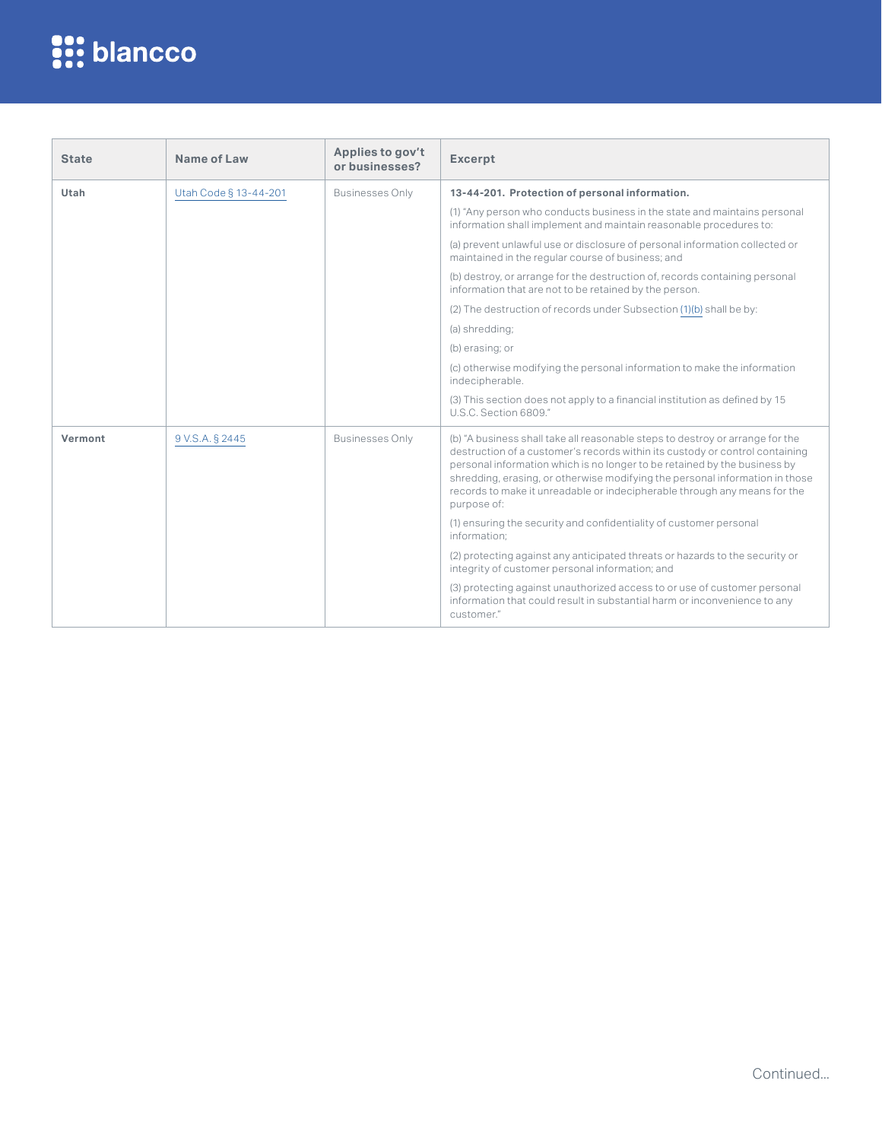| <b>State</b> | Name of Law           | Applies to gov't<br>or businesses? | <b>Excerpt</b>                                                                                                                                                                                                                                                                                                                                                                                                         |
|--------------|-----------------------|------------------------------------|------------------------------------------------------------------------------------------------------------------------------------------------------------------------------------------------------------------------------------------------------------------------------------------------------------------------------------------------------------------------------------------------------------------------|
| Utah         | Utah Code § 13-44-201 | <b>Businesses Only</b>             | 13-44-201. Protection of personal information.                                                                                                                                                                                                                                                                                                                                                                         |
|              |                       |                                    | (1) "Any person who conducts business in the state and maintains personal<br>information shall implement and maintain reasonable procedures to:                                                                                                                                                                                                                                                                        |
|              |                       |                                    | (a) prevent unlawful use or disclosure of personal information collected or<br>maintained in the regular course of business; and                                                                                                                                                                                                                                                                                       |
|              |                       |                                    | (b) destroy, or arrange for the destruction of, records containing personal<br>information that are not to be retained by the person.                                                                                                                                                                                                                                                                                  |
|              |                       |                                    | (2) The destruction of records under Subsection (1)(b) shall be by:                                                                                                                                                                                                                                                                                                                                                    |
|              |                       |                                    | (a) shredding;                                                                                                                                                                                                                                                                                                                                                                                                         |
|              |                       |                                    | (b) erasing; or                                                                                                                                                                                                                                                                                                                                                                                                        |
|              |                       |                                    | (c) otherwise modifying the personal information to make the information<br>indecipherable.                                                                                                                                                                                                                                                                                                                            |
|              |                       |                                    | (3) This section does not apply to a financial institution as defined by 15<br>U.S.C. Section 6809."                                                                                                                                                                                                                                                                                                                   |
| Vermont      | 9 V.S.A. § 2445       | <b>Businesses Only</b>             | (b) "A business shall take all reasonable steps to destroy or arrange for the<br>destruction of a customer's records within its custody or control containing<br>personal information which is no longer to be retained by the business by<br>shredding, erasing, or otherwise modifying the personal information in those<br>records to make it unreadable or indecipherable through any means for the<br>purpose of: |
|              |                       |                                    | (1) ensuring the security and confidentiality of customer personal<br>information:                                                                                                                                                                                                                                                                                                                                     |
|              |                       |                                    | (2) protecting against any anticipated threats or hazards to the security or<br>integrity of customer personal information; and                                                                                                                                                                                                                                                                                        |
|              |                       |                                    | (3) protecting against unauthorized access to or use of customer personal<br>information that could result in substantial harm or inconvenience to any<br>customer."                                                                                                                                                                                                                                                   |